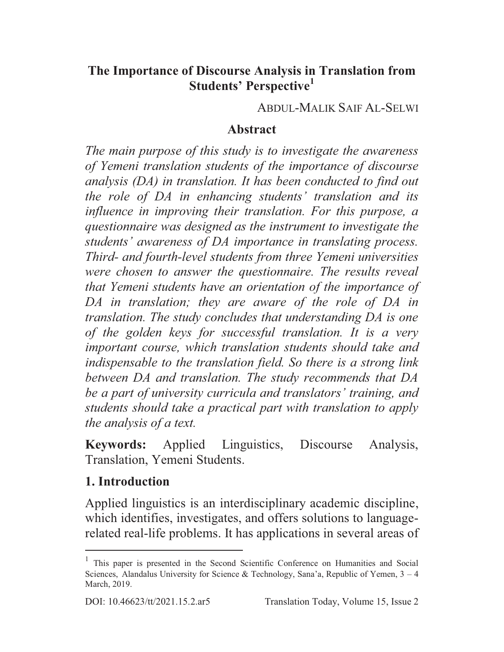#### **The Importance of Discourse Analysis in Translation from Students' Perspective<sup>1</sup>**

ABDUL-MALIK SAIF AL-SELWI

#### **Abstract**

*The main purpose of this study is to investigate the awareness of Yemeni translation students of the importance of discourse analysis (DA) in translation. It has been conducted to find out the role of DA in enhancing students' translation and its influence in improving their translation. For this purpose, a questionnaire was designed as the instrument to investigate the students' awareness of DA importance in translating process. Third- and fourth-level students from three Yemeni universities were chosen to answer the questionnaire. The results reveal that Yemeni students have an orientation of the importance of DA in translation; they are aware of the role of DA in translation. The study concludes that understanding DA is one of the golden keys for successful translation. It is a very important course, which translation students should take and indispensable to the translation field. So there is a strong link between DA and translation. The study recommends that DA be a part of university curricula and translators' training, and students should take a practical part with translation to apply the analysis of a text.* 

**Keywords:** Applied Linguistics, Discourse Analysis, Translation, Yemeni Students.

#### **1. Introduction**

Applied linguistics is an interdisciplinary academic discipline, which identifies, investigates, and offers solutions to languagerelated real-life problems. It has applications in several areas of  $\overline{a}$ 

<sup>&</sup>lt;sup>1</sup> This paper is presented in the Second Scientific Conference on Humanities and Social Sciences, Alandalus University for Science & Technology, Sana'a, Republic of Yemen,  $3 - 4$ March, 2019.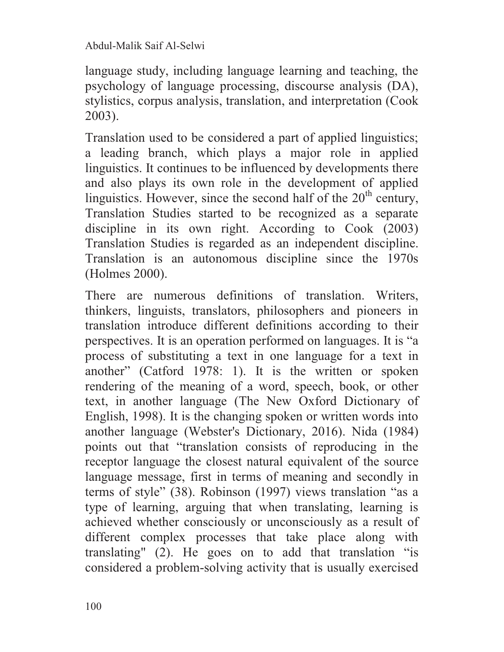language study, including language learning and teaching, the psychology of language processing, discourse analysis (DA), stylistics, corpus analysis, translation, and interpretation (Cook 2003).

Translation used to be considered a part of applied linguistics; a leading branch, which plays a major role in applied linguistics. It continues to be influenced by developments there and also plays its own role in the development of applied linguistics. However, since the second half of the  $20<sup>th</sup>$  century, Translation Studies started to be recognized as a separate discipline in its own right. According to Cook (2003) Translation Studies is regarded as an independent discipline. Translation is an autonomous discipline since the 1970s (Holmes 2000).

There are numerous definitions of translation. Writers, thinkers, linguists, translators, philosophers and pioneers in translation introduce different definitions according to their perspectives. It is an operation performed on languages. It is "a process of substituting a text in one language for a text in another" (Catford 1978: 1). It is the written or spoken rendering of the meaning of a word, speech, book, or other text, in another language (The New Oxford Dictionary of English, 1998). It is the changing spoken or written words into another language (Webster's Dictionary, 2016). Nida (1984) points out that "translation consists of reproducing in the receptor language the closest natural equivalent of the source language message, first in terms of meaning and secondly in terms of style" (38). Robinson (1997) views translation "as a type of learning, arguing that when translating, learning is achieved whether consciously or unconsciously as a result of different complex processes that take place along with translating" (2). He goes on to add that translation "is considered a problem-solving activity that is usually exercised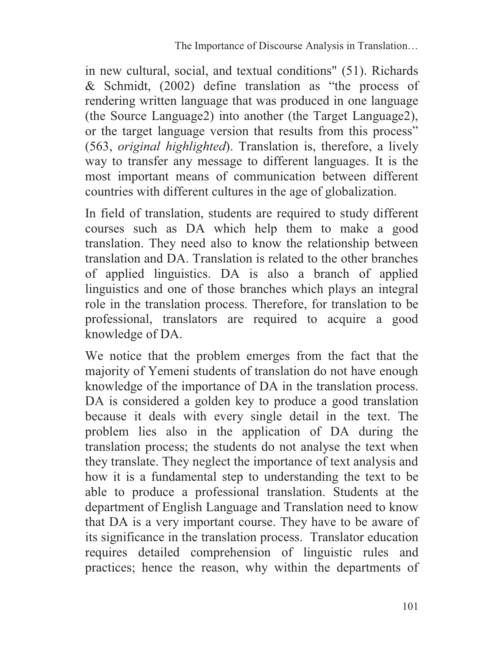in new cultural, social, and textual conditions" (51). Richards & Schmidt, (2002) define translation as "the process of rendering written language that was produced in one language (the Source Language2) into another (the Target Language2), or the target language version that results from this process" (563, *original highlighted*). Translation is, therefore, a lively way to transfer any message to different languages. It is the most important means of communication between different countries with different cultures in the age of globalization.

In field of translation, students are required to study different courses such as DA which help them to make a good translation. They need also to know the relationship between translation and DA. Translation is related to the other branches of applied linguistics. DA is also a branch of applied linguistics and one of those branches which plays an integral role in the translation process. Therefore, for translation to be professional, translators are required to acquire a good knowledge of DA.

We notice that the problem emerges from the fact that the majority of Yemeni students of translation do not have enough knowledge of the importance of DA in the translation process. DA is considered a golden key to produce a good translation because it deals with every single detail in the text. The problem lies also in the application of DA during the translation process; the students do not analyse the text when they translate. They neglect the importance of text analysis and how it is a fundamental step to understanding the text to be able to produce a professional translation. Students at the department of English Language and Translation need to know that DA is a very important course. They have to be aware of its significance in the translation process. Translator education requires detailed comprehension of linguistic rules and practices; hence the reason, why within the departments of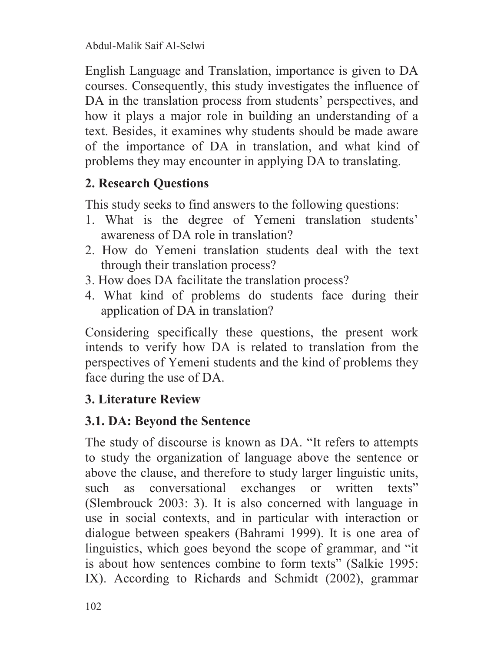English Language and Translation, importance is given to DA courses. Consequently, this study investigates the influence of DA in the translation process from students' perspectives, and how it plays a major role in building an understanding of a text. Besides, it examines why students should be made aware of the importance of DA in translation, and what kind of problems they may encounter in applying DA to translating.

## **2. Research Questions**

This study seeks to find answers to the following questions:

- 1. What is the degree of Yemeni translation students' awareness of DA role in translation?
- 2. How do Yemeni translation students deal with the text through their translation process?
- 3. How does DA facilitate the translation process?
- 4. What kind of problems do students face during their application of DA in translation?

Considering specifically these questions, the present work intends to verify how DA is related to translation from the perspectives of Yemeni students and the kind of problems they face during the use of DA.

## **3. Literature Review**

# **3.1. DA: Beyond the Sentence**

The study of discourse is known as DA. "It refers to attempts to study the organization of language above the sentence or above the clause, and therefore to study larger linguistic units, such as conversational exchanges or written texts" (Slembrouck 2003: 3). It is also concerned with language in use in social contexts, and in particular with interaction or dialogue between speakers (Bahrami 1999). It is one area of linguistics, which goes beyond the scope of grammar, and "it is about how sentences combine to form texts" (Salkie 1995: IX). According to Richards and Schmidt (2002), grammar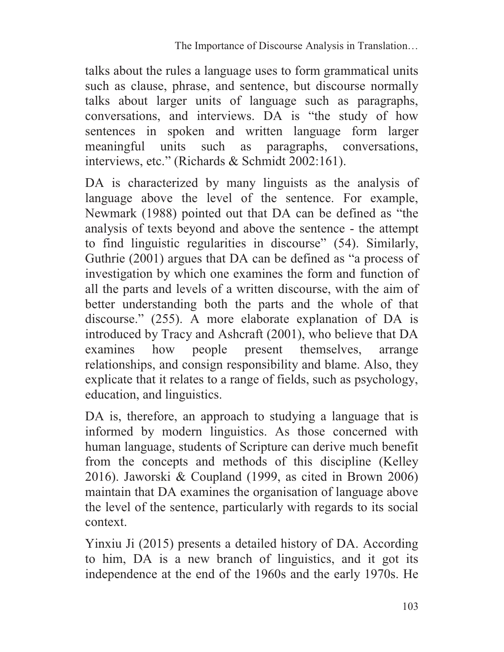talks about the rules a language uses to form grammatical units such as clause, phrase, and sentence, but discourse normally talks about larger units of language such as paragraphs, conversations, and interviews. DA is "the study of how sentences in spoken and written language form larger meaningful units such as paragraphs, conversations, interviews, etc." (Richards & Schmidt 2002:161).

DA is characterized by many linguists as the analysis of language above the level of the sentence. For example, Newmark (1988) pointed out that DA can be defined as "the analysis of texts beyond and above the sentence - the attempt to find linguistic regularities in discourse" (54). Similarly, Guthrie (2001) argues that DA can be defined as "a process of investigation by which one examines the form and function of all the parts and levels of a written discourse, with the aim of better understanding both the parts and the whole of that discourse." (255). A more elaborate explanation of DA is introduced by Tracy and Ashcraft (2001), who believe that DA examines how people present themselves, arrange relationships, and consign responsibility and blame. Also, they explicate that it relates to a range of fields, such as psychology, education, and linguistics.

DA is, therefore, an approach to studying a language that is informed by modern linguistics. As those concerned with human language, students of Scripture can derive much benefit from the concepts and methods of this discipline (Kelley 2016). Jaworski & Coupland (1999, as cited in Brown 2006) maintain that DA examines the organisation of language above the level of the sentence, particularly with regards to its social context.

Yinxiu Ji (2015) presents a detailed history of DA. According to him, DA is a new branch of linguistics, and it got its independence at the end of the 1960s and the early 1970s. He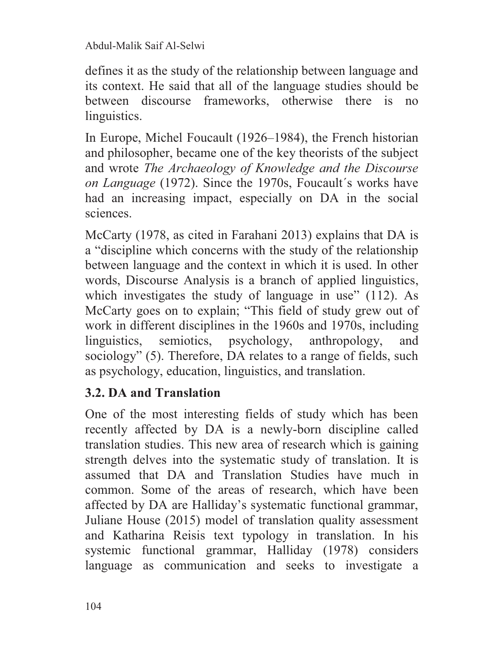defines it as the study of the relationship between language and its context. He said that all of the language studies should be between discourse frameworks, otherwise there is no linguistics.

In Europe, Michel Foucault (1926–1984), the French historian and philosopher, became one of the key theorists of the subject and wrote *The Archaeology of Knowledge and the Discourse on Language* (1972). Since the 1970s, Foucault´s works have had an increasing impact, especially on DA in the social sciences.

McCarty (1978, as cited in Farahani 2013) explains that DA is a "discipline which concerns with the study of the relationship between language and the context in which it is used. In other words, Discourse Analysis is a branch of applied linguistics, which investigates the study of language in use" (112). As McCarty goes on to explain; "This field of study grew out of work in different disciplines in the 1960s and 1970s, including linguistics, semiotics, psychology, anthropology, and sociology" (5). Therefore, DA relates to a range of fields, such as psychology, education, linguistics, and translation.

## **3.2. DA and Translation**

One of the most interesting fields of study which has been recently affected by DA is a newly-born discipline called translation studies. This new area of research which is gaining strength delves into the systematic study of translation. It is assumed that DA and Translation Studies have much in common. Some of the areas of research, which have been affected by DA are Halliday's systematic functional grammar, Juliane House (2015) model of translation quality assessment and Katharina Reisis text typology in translation. In his systemic functional grammar, Halliday (1978) considers language as communication and seeks to investigate a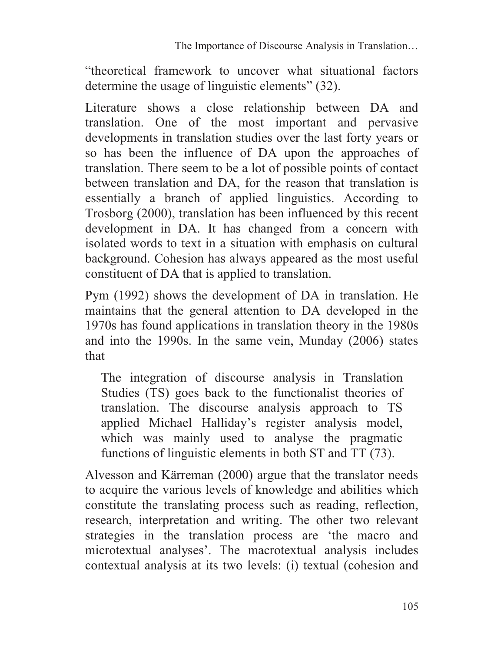"theoretical framework to uncover what situational factors determine the usage of linguistic elements" (32).

Literature shows a close relationship between DA and translation. One of the most important and pervasive developments in translation studies over the last forty years or so has been the influence of DA upon the approaches of translation. There seem to be a lot of possible points of contact between translation and DA, for the reason that translation is essentially a branch of applied linguistics. According to Trosborg (2000), translation has been influenced by this recent development in DA. It has changed from a concern with isolated words to text in a situation with emphasis on cultural background. Cohesion has always appeared as the most useful constituent of DA that is applied to translation.

Pym (1992) shows the development of DA in translation. He maintains that the general attention to DA developed in the 1970s has found applications in translation theory in the 1980s and into the 1990s. In the same vein, Munday (2006) states that

The integration of discourse analysis in Translation Studies (TS) goes back to the functionalist theories of translation. The discourse analysis approach to TS applied Michael Halliday's register analysis model, which was mainly used to analyse the pragmatic functions of linguistic elements in both ST and TT (73).

Alvesson and Kärreman (2000) argue that the translator needs to acquire the various levels of knowledge and abilities which constitute the translating process such as reading, reflection, research, interpretation and writing. The other two relevant strategies in the translation process are 'the macro and microtextual analyses'. The macrotextual analysis includes contextual analysis at its two levels: (i) textual (cohesion and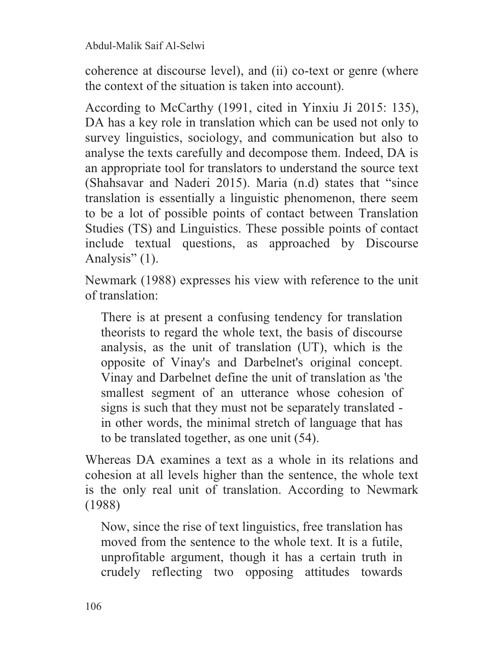coherence at discourse level), and (ii) co-text or genre (where the context of the situation is taken into account).

According to McCarthy (1991, cited in Yinxiu Ji 2015: 135), DA has a key role in translation which can be used not only to survey linguistics, sociology, and communication but also to analyse the texts carefully and decompose them. Indeed, DA is an appropriate tool for translators to understand the source text (Shahsavar and Naderi 2015). Maria (n.d) states that "since translation is essentially a linguistic phenomenon, there seem to be a lot of possible points of contact between Translation Studies (TS) and Linguistics. These possible points of contact include textual questions, as approached by Discourse Analysis" (1).

Newmark (1988) expresses his view with reference to the unit of translation:

There is at present a confusing tendency for translation theorists to regard the whole text, the basis of discourse analysis, as the unit of translation (UT), which is the opposite of Vinay's and Darbelnet's original concept. Vinay and Darbelnet define the unit of translation as 'the smallest segment of an utterance whose cohesion of signs is such that they must not be separately translated in other words, the minimal stretch of language that has to be translated together, as one unit (54).

Whereas DA examines a text as a whole in its relations and cohesion at all levels higher than the sentence, the whole text is the only real unit of translation. According to Newmark (1988)

Now, since the rise of text linguistics, free translation has moved from the sentence to the whole text. It is a futile, unprofitable argument, though it has a certain truth in crudely reflecting two opposing attitudes towards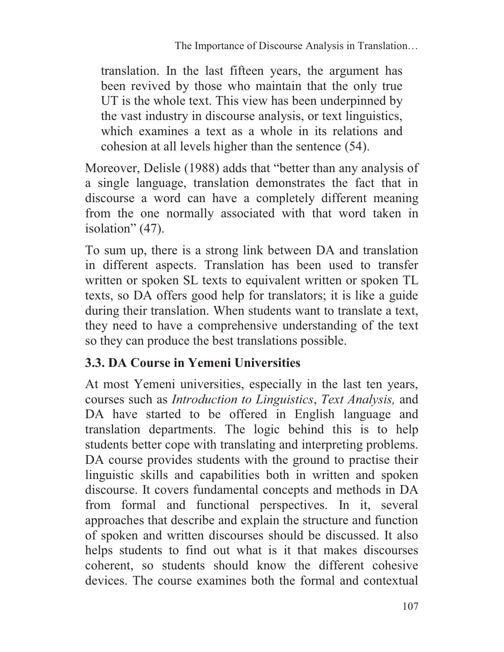translation. In the last fifteen years, the argument has been revived by those who maintain that the only true UT is the whole text. This view has been underpinned by the vast industry in discourse analysis, or text linguistics, which examines a text as a whole in its relations and cohesion at all levels higher than the sentence (54).

Moreover, Delisle (1988) adds that "better than any analysis of a single language, translation demonstrates the fact that in discourse a word can have a completely different meaning from the one normally associated with that word taken in isolation" (47).

To sum up, there is a strong link between DA and translation in different aspects. Translation has been used to transfer written or spoken SL texts to equivalent written or spoken TL texts, so DA offers good help for translators; it is like a guide during their translation. When students want to translate a text, they need to have a comprehensive understanding of the text so they can produce the best translations possible.

## **3.3. DA Course in Yemeni Universities**

At most Yemeni universities, especially in the last ten years, courses such as *Introduction to Linguistics*, *Text Analysis,* and DA have started to be offered in English language and translation departments. The logic behind this is to help students better cope with translating and interpreting problems. DA course provides students with the ground to practise their linguistic skills and capabilities both in written and spoken discourse. It covers fundamental concepts and methods in DA from formal and functional perspectives. In it, several approaches that describe and explain the structure and function of spoken and written discourses should be discussed. It also helps students to find out what is it that makes discourses coherent, so students should know the different cohesive devices. The course examines both the formal and contextual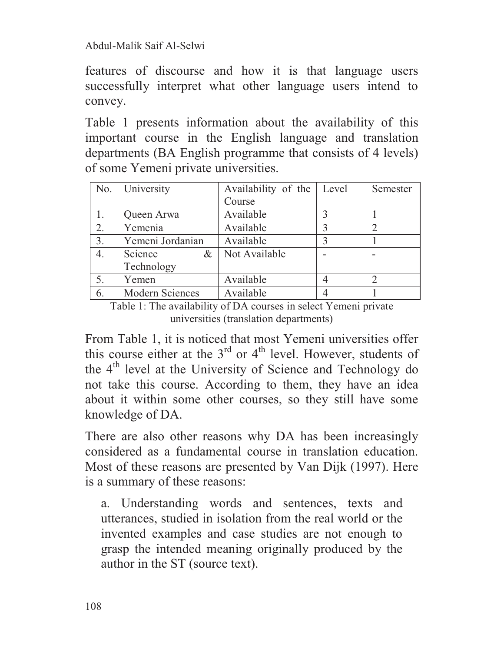features of discourse and how it is that language users successfully interpret what other language users intend to convey.

Table 1 presents information about the availability of this important course in the English language and translation departments (BA English programme that consists of 4 levels) of some Yemeni private universities.

| No. | University             | Availability of the | Level | Semester |
|-----|------------------------|---------------------|-------|----------|
|     |                        | Course              |       |          |
| 1.  | Queen Arwa             | Available           |       |          |
| 2.  | Yemenia                | Available           |       |          |
| 3.  | Yemeni Jordanian       | Available           |       |          |
| 4.  | Science<br>$\&$        | Not Available       |       |          |
|     | Technology             |                     |       |          |
| 5.  | Yemen                  | Available           |       |          |
| 6.  | <b>Modern Sciences</b> | Available           |       |          |

Table 1: The availability of DA courses in select Yemeni private universities (translation departments)

From Table 1, it is noticed that most Yemeni universities offer this course either at the  $3<sup>rd</sup>$  or  $4<sup>th</sup>$  level. However, students of the  $4<sup>th</sup>$  level at the University of Science and Technology do not take this course. According to them, they have an idea about it within some other courses, so they still have some knowledge of DA.

There are also other reasons why DA has been increasingly considered as a fundamental course in translation education. Most of these reasons are presented by Van Dijk (1997). Here is a summary of these reasons:

a. Understanding words and sentences, texts and utterances, studied in isolation from the real world or the invented examples and case studies are not enough to grasp the intended meaning originally produced by the author in the ST (source text).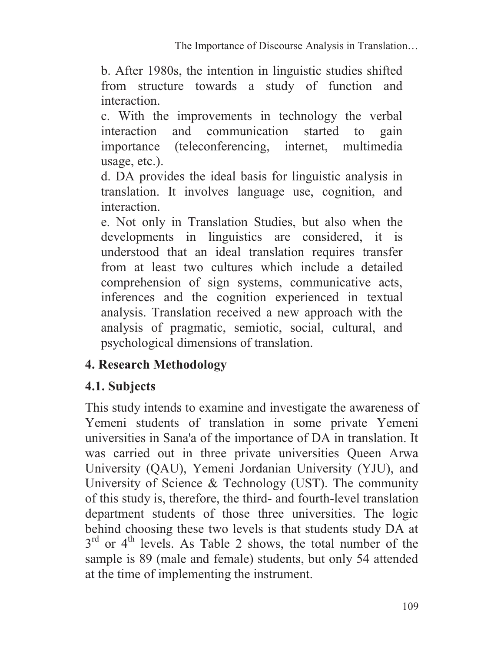b. After 1980s, the intention in linguistic studies shifted from structure towards a study of function and interaction.

c. With the improvements in technology the verbal interaction and communication started to gain importance (teleconferencing, internet, multimedia usage, etc.).

d. DA provides the ideal basis for linguistic analysis in translation. It involves language use, cognition, and interaction.

e. Not only in Translation Studies, but also when the developments in linguistics are considered, it is understood that an ideal translation requires transfer from at least two cultures which include a detailed comprehension of sign systems, communicative acts, inferences and the cognition experienced in textual analysis. Translation received a new approach with the analysis of pragmatic, semiotic, social, cultural, and psychological dimensions of translation.

## **4. Research Methodology**

## **4.1. Subjects**

This study intends to examine and investigate the awareness of Yemeni students of translation in some private Yemeni universities in Sana'a of the importance of DA in translation. It was carried out in three private universities Queen Arwa University (QAU), Yemeni Jordanian University (YJU), and University of Science & Technology (UST). The community of this study is, therefore, the third- and fourth-level translation department students of those three universities. The logic behind choosing these two levels is that students study DA at  $3<sup>rd</sup>$  or 4<sup>th</sup> levels. As Table 2 shows, the total number of the sample is 89 (male and female) students, but only 54 attended at the time of implementing the instrument.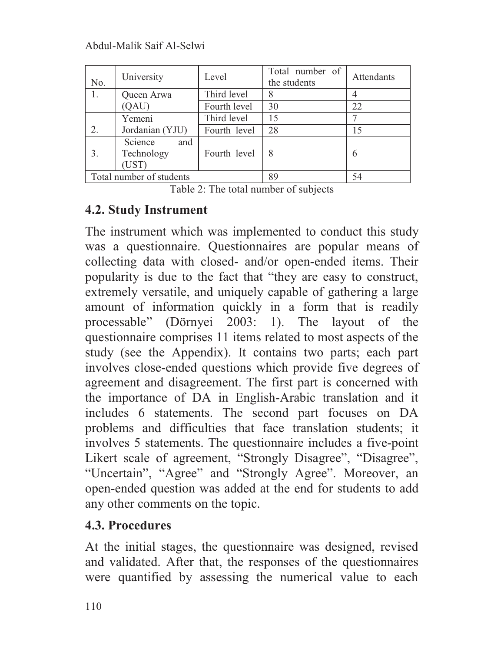| No. | University                            | Level        | Total number of<br>the students | Attendants |
|-----|---------------------------------------|--------------|---------------------------------|------------|
| 1.  | Queen Arwa                            | Third level  | 8                               |            |
|     | (QAU)                                 | Fourth level | 30                              | 22         |
|     | Yemeni                                | Third level  | 15                              |            |
| 2.  | Jordanian (YJU)                       | Fourth level | 28                              | 15         |
| 3.  | Science<br>and<br>Technology<br>(UST) | Fourth level | 8                               | 6          |
|     | Total number of students              |              | 89                              | 54         |

Table 2: The total number of subjects

## **4.2. Study Instrument**

The instrument which was implemented to conduct this study was a questionnaire. Questionnaires are popular means of collecting data with closed- and/or open-ended items. Their popularity is due to the fact that "they are easy to construct, extremely versatile, and uniquely capable of gathering a large amount of information quickly in a form that is readily processable" (Dörnyei 2003: 1). The layout of the questionnaire comprises 11 items related to most aspects of the study (see the Appendix). It contains two parts; each part involves close-ended questions which provide five degrees of agreement and disagreement. The first part is concerned with the importance of DA in English-Arabic translation and it includes 6 statements. The second part focuses on DA problems and difficulties that face translation students; it involves 5 statements. The questionnaire includes a five-point Likert scale of agreement, "Strongly Disagree", "Disagree", "Uncertain", "Agree" and "Strongly Agree". Moreover, an open-ended question was added at the end for students to add any other comments on the topic.

# **4.3. Procedures**

At the initial stages, the questionnaire was designed, revised and validated. After that, the responses of the questionnaires were quantified by assessing the numerical value to each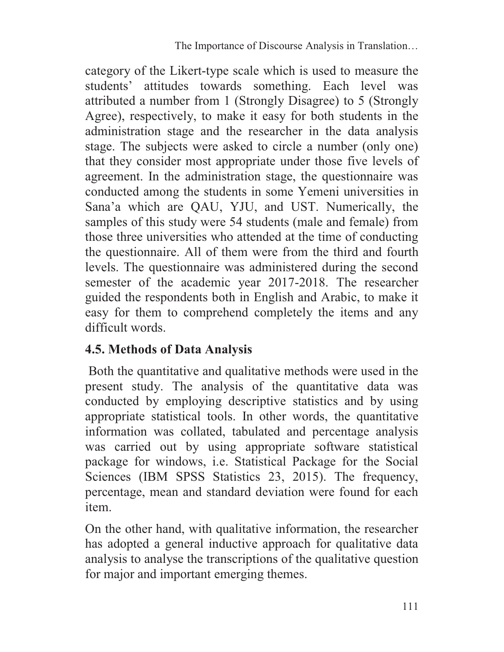category of the Likert-type scale which is used to measure the students' attitudes towards something. Each level was attributed a number from 1 (Strongly Disagree) to 5 (Strongly Agree), respectively, to make it easy for both students in the administration stage and the researcher in the data analysis stage. The subjects were asked to circle a number (only one) that they consider most appropriate under those five levels of agreement. In the administration stage, the questionnaire was conducted among the students in some Yemeni universities in Sana'a which are QAU, YJU, and UST. Numerically, the samples of this study were 54 students (male and female) from those three universities who attended at the time of conducting the questionnaire. All of them were from the third and fourth levels. The questionnaire was administered during the second semester of the academic year 2017-2018. The researcher guided the respondents both in English and Arabic, to make it easy for them to comprehend completely the items and any difficult words.

# **4.5. Methods of Data Analysis**

 Both the quantitative and qualitative methods were used in the present study. The analysis of the quantitative data was conducted by employing descriptive statistics and by using appropriate statistical tools. In other words, the quantitative information was collated, tabulated and percentage analysis was carried out by using appropriate software statistical package for windows, i.e. Statistical Package for the Social Sciences (IBM SPSS Statistics 23, 2015). The frequency, percentage, mean and standard deviation were found for each item.

On the other hand, with qualitative information, the researcher has adopted a general inductive approach for qualitative data analysis to analyse the transcriptions of the qualitative question for major and important emerging themes.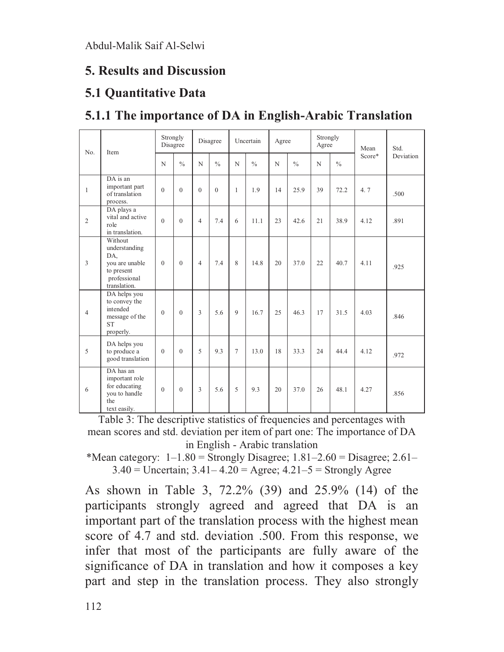## **5. Results and Discussion**

#### **5.1 Quantitative Data**

| No.            | Item                                                                                            | Strongly<br>Disagree |               | Disagree       |               | Uncertain    |               | Agree       |               | Strongly<br>Agree |               | Mean   | Std.      |
|----------------|-------------------------------------------------------------------------------------------------|----------------------|---------------|----------------|---------------|--------------|---------------|-------------|---------------|-------------------|---------------|--------|-----------|
|                |                                                                                                 | N                    | $\frac{0}{0}$ | N              | $\frac{0}{0}$ | $\mathbf N$  | $\frac{0}{0}$ | $\mathbf N$ | $\frac{0}{0}$ | N                 | $\frac{0}{0}$ | Score* | Deviation |
| $\mathbf{1}$   | DA is an<br>important part<br>of translation<br>process.                                        | $\theta$             | $\theta$      | $\theta$       | $\theta$      | $\mathbf{1}$ | 1.9           | 14          | 25.9          | 39                | 72.2          | 4.7    | .500      |
| 2              | DA plays a<br>vital and active<br>role<br>in translation.                                       | $\theta$             | $\theta$      | $\overline{4}$ | 7.4           | 6            | 11.1          | 23          | 42.6          | 21                | 38.9          | 4.12   | .891      |
| 3              | Without<br>understanding<br>DA,<br>you are unable<br>to present<br>professional<br>translation. | $\theta$             | $\theta$      | $\overline{4}$ | 7.4           | 8            | 14.8          | 20          | 37.0          | 22                | 40.7          | 4.11   | .925      |
| $\overline{4}$ | DA helps you<br>to convey the<br>intended<br>message of the<br><b>ST</b><br>properly.           | $\theta$             | $\theta$      | 3              | 5.6           | 9            | 16.7          | 25          | 46.3          | 17                | 31.5          | 4.03   | .846      |
| 5              | DA helps you<br>to produce a<br>good translation                                                | $\Omega$             | $\Omega$      | 5              | 9.3           | 7            | 13.0          | 18          | 33.3          | 24                | 44.4          | 4.12   | .972      |
| 6              | DA has an<br>important role<br>for educating<br>you to handle<br>the<br>text easily.            | $\theta$             | $\theta$      | 3              | 5.6           | 5            | 9.3           | 20          | 37.0          | 26                | 48.1          | 4.27   | .856      |

# **5.1.1 The importance of DA in English-Arabic Translation**

Table 3: The descriptive statistics of frequencies and percentages with mean scores and std. deviation per item of part one: The importance of DA in English - Arabic translation

\*Mean category:  $1-1.80$  = Strongly Disagree;  $1.81-2.60$  = Disagree;  $2.61 3.40 =$  Uncertain;  $3.41 - 4.20 =$  Agree;  $4.21 - 5 =$  Strongly Agree

As shown in Table 3, 72.2% (39) and 25.9% (14) of the participants strongly agreed and agreed that DA is an important part of the translation process with the highest mean score of 4.7 and std. deviation .500. From this response, we infer that most of the participants are fully aware of the significance of DA in translation and how it composes a key part and step in the translation process. They also strongly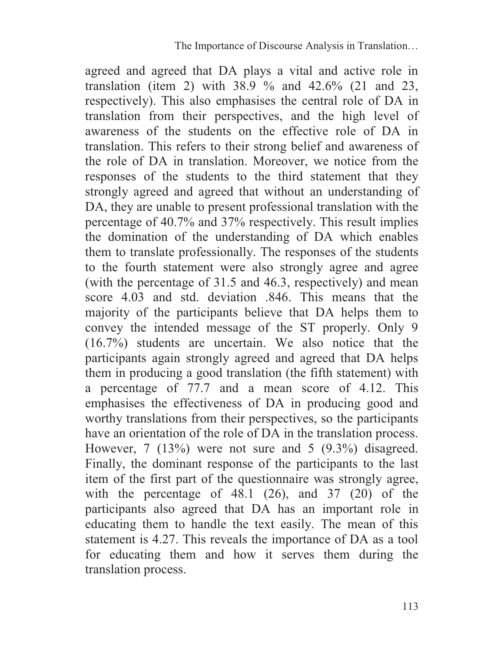agreed and agreed that DA plays a vital and active role in translation (item 2) with  $38.9 \%$  and  $42.6%$  (21 and 23, respectively). This also emphasises the central role of DA in translation from their perspectives, and the high level of awareness of the students on the effective role of DA in translation. This refers to their strong belief and awareness of the role of DA in translation. Moreover, we notice from the responses of the students to the third statement that they strongly agreed and agreed that without an understanding of DA, they are unable to present professional translation with the percentage of 40.7% and 37% respectively. This result implies the domination of the understanding of DA which enables them to translate professionally. The responses of the students to the fourth statement were also strongly agree and agree (with the percentage of 31.5 and 46.3, respectively) and mean score 4.03 and std. deviation .846. This means that the majority of the participants believe that DA helps them to convey the intended message of the ST properly. Only 9 (16.7%) students are uncertain. We also notice that the participants again strongly agreed and agreed that DA helps them in producing a good translation (the fifth statement) with a percentage of 77.7 and a mean score of 4.12. This emphasises the effectiveness of DA in producing good and worthy translations from their perspectives, so the participants have an orientation of the role of DA in the translation process. However, 7 (13%) were not sure and 5 (9.3%) disagreed. Finally, the dominant response of the participants to the last item of the first part of the questionnaire was strongly agree, with the percentage of  $48.1$   $(26)$ , and  $37$   $(20)$  of the participants also agreed that DA has an important role in educating them to handle the text easily. The mean of this statement is 4.27. This reveals the importance of DA as a tool for educating them and how it serves them during the translation process.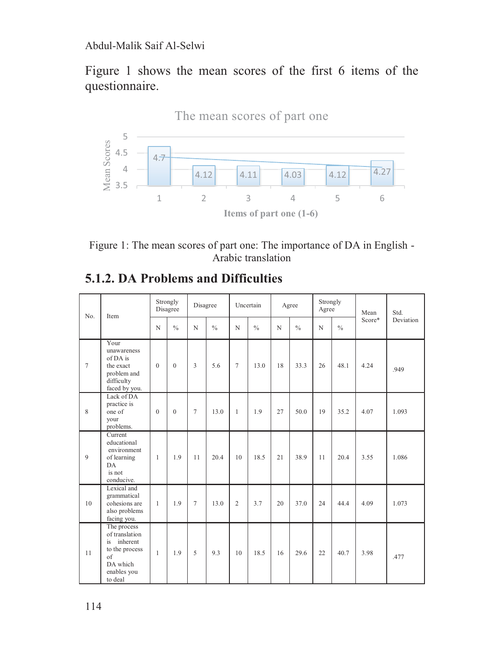Figure 1 shows the mean scores of the first 6 items of the questionnaire.





#### **5.1.2. DA Problems and Difficulties**

| No.<br>Item | Strongly<br>Disagree<br>Disagree                                                                              |               | Uncertain   |                | Agree |                | Strongly<br>Agree |               | Mean | Std.          |        |                  |       |
|-------------|---------------------------------------------------------------------------------------------------------------|---------------|-------------|----------------|-------|----------------|-------------------|---------------|------|---------------|--------|------------------|-------|
|             | N                                                                                                             | $\frac{0}{0}$ | $\mathbf N$ | $\frac{0}{0}$  | N     | $\frac{0}{0}$  | N                 | $\frac{0}{0}$ | N    | $\frac{0}{0}$ | Score* | <b>Deviation</b> |       |
| 7           | Your<br>unawareness<br>of DA is<br>the exact<br>problem and<br>difficulty<br>faced by you.                    | $\theta$      | $\theta$    | 3              | 5.6   | $\tau$         | 13.0              | 18            | 33.3 | 26            | 48.1   | 4.24             | .949  |
| 8           | Lack of DA<br>practice is<br>one of<br>your<br>problems.                                                      | $\theta$      | $\theta$    | 7              | 13.0  | $\mathbf{1}$   | 1.9               | 27            | 50.0 | 19            | 35.2   | 4.07             | 1.093 |
| 9           | Current<br>educational<br>environment<br>of learning<br>DA<br>is not<br>conducive.                            | 1             | 1.9         | 11             | 20.4  | 10             | 18.5              | 21            | 38.9 | 11            | 20.4   | 3.55             | 1.086 |
| 10          | Lexical and<br>grammatical<br>cohesions are<br>also problems<br>facing you.                                   | $\mathbf{1}$  | 1.9         | $\overline{7}$ | 13.0  | $\overline{2}$ | 3.7               | 20            | 37.0 | 24            | 44.4   | 4.09             | 1.073 |
| 11          | The process<br>of translation<br>inherent<br>is<br>to the process<br>of<br>DA which<br>enables you<br>to deal | $\mathbf{1}$  | 1.9         | 5              | 9.3   | 10             | 18.5              | 16            | 29.6 | 22            | 40.7   | 3.98             | .477  |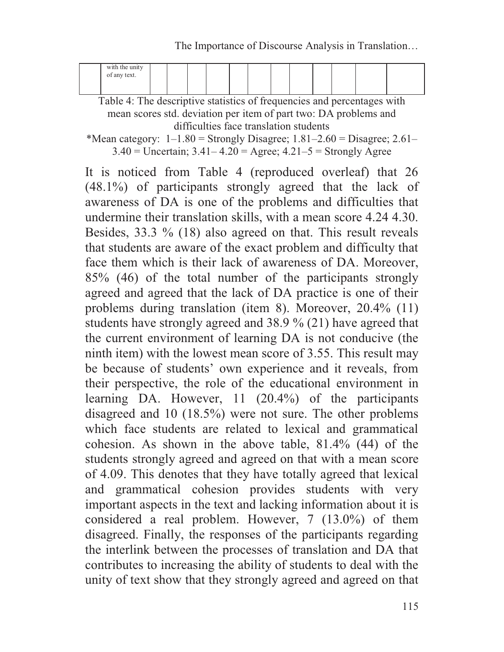The Importance of Discourse Analysis in Translation…

| with the unity<br>of any text. |  |  |  |  |  |  |
|--------------------------------|--|--|--|--|--|--|
|                                |  |  |  |  |  |  |

Table 4: The descriptive statistics of frequencies and percentages with mean scores std. deviation per item of part two: DA problems and difficulties face translation students

\*Mean category:  $1-1.80$  = Strongly Disagree;  $1.81-2.60$  = Disagree;  $2.61 3.40 =$  Uncertain;  $3.41 - 4.20 =$  Agree;  $4.21 - 5 =$  Strongly Agree

It is noticed from Table 4 (reproduced overleaf) that 26 (48.1%) of participants strongly agreed that the lack of awareness of DA is one of the problems and difficulties that undermine their translation skills, with a mean score 4.24 4.30. Besides, 33.3 % (18) also agreed on that. This result reveals that students are aware of the exact problem and difficulty that face them which is their lack of awareness of DA. Moreover, 85% (46) of the total number of the participants strongly agreed and agreed that the lack of DA practice is one of their problems during translation (item 8). Moreover, 20.4% (11) students have strongly agreed and 38.9 % (21) have agreed that the current environment of learning DA is not conducive (the ninth item) with the lowest mean score of 3.55. This result may be because of students' own experience and it reveals, from their perspective, the role of the educational environment in learning DA. However, 11 (20.4%) of the participants disagreed and 10 (18.5%) were not sure. The other problems which face students are related to lexical and grammatical cohesion. As shown in the above table, 81.4% (44) of the students strongly agreed and agreed on that with a mean score of 4.09. This denotes that they have totally agreed that lexical and grammatical cohesion provides students with very important aspects in the text and lacking information about it is considered a real problem. However, 7 (13.0%) of them disagreed. Finally, the responses of the participants regarding the interlink between the processes of translation and DA that contributes to increasing the ability of students to deal with the unity of text show that they strongly agreed and agreed on that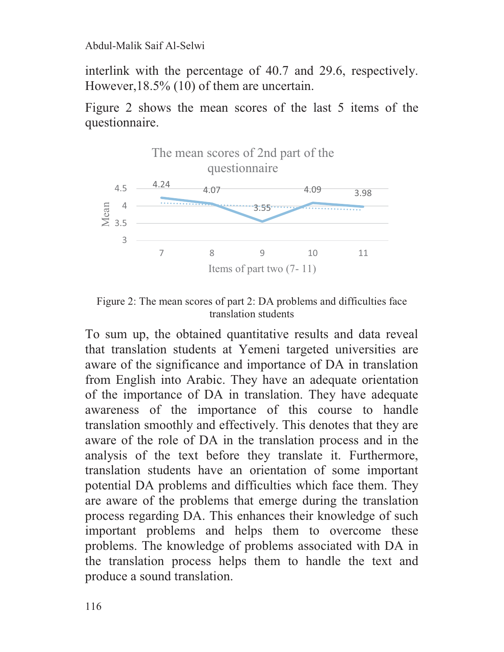interlink with the percentage of 40.7 and 29.6, respectively. However,18.5% (10) of them are uncertain.

Figure 2 shows the mean scores of the last 5 items of the questionnaire.



Figure 2: The mean scores of part 2: DA problems and difficulties face translation students

To sum up, the obtained quantitative results and data reveal that translation students at Yemeni targeted universities are aware of the significance and importance of DA in translation from English into Arabic. They have an adequate orientation of the importance of DA in translation. They have adequate awareness of the importance of this course to handle translation smoothly and effectively. This denotes that they are aware of the role of DA in the translation process and in the analysis of the text before they translate it. Furthermore, translation students have an orientation of some important potential DA problems and difficulties which face them. They are aware of the problems that emerge during the translation process regarding DA. This enhances their knowledge of such important problems and helps them to overcome these problems. The knowledge of problems associated with DA in the translation process helps them to handle the text and produce a sound translation.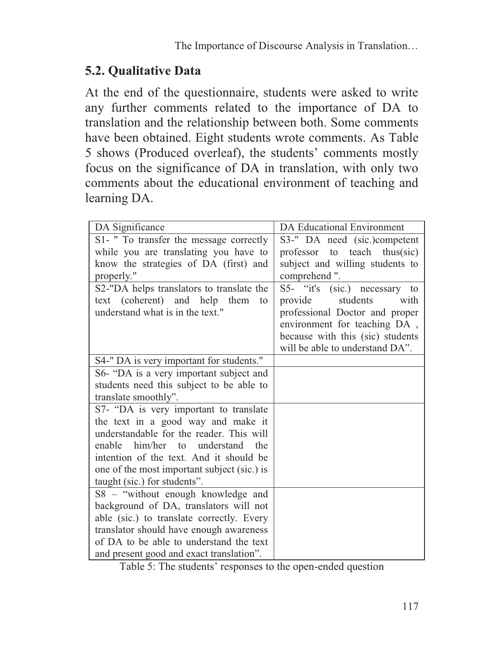## **5.2. Qualitative Data**

At the end of the questionnaire, students were asked to write any further comments related to the importance of DA to translation and the relationship between both. Some comments have been obtained. Eight students wrote comments. As Table 5 shows (Produced overleaf), the students' comments mostly focus on the significance of DA in translation, with only two comments about the educational environment of teaching and learning DA.

| DA Significance                             | <b>DA Educational Environment</b> |
|---------------------------------------------|-----------------------------------|
| S1- " To transfer the message correctly     | S3-" DA need (sic.)competent      |
| while you are translating you have to       | professor to teach thus(sic)      |
| know the strategies of DA (first) and       | subject and willing students to   |
| properly."                                  | comprehend".                      |
| S2-"DA helps translators to translate the   | S5- "it's (sic.) necessary to     |
| text (coherent) and help them<br>to         | students<br>provide<br>with       |
| understand what is in the text."            | professional Doctor and proper    |
|                                             | environment for teaching DA,      |
|                                             | because with this (sic) students  |
|                                             | will be able to understand DA".   |
| S4-" DA is very important for students."    |                                   |
| S6- "DA is a very important subject and     |                                   |
| students need this subject to be able to    |                                   |
| translate smoothly".                        |                                   |
| S7- "DA is very important to translate      |                                   |
| the text in a good way and make it          |                                   |
| understandable for the reader. This will    |                                   |
| him/her to understand<br>enable<br>the      |                                   |
| intention of the text. And it should be     |                                   |
| one of the most important subject (sic.) is |                                   |
| taught (sic.) for students".                |                                   |
| S8 - "without enough knowledge and          |                                   |
| background of DA, translators will not      |                                   |
| able (sic.) to translate correctly. Every   |                                   |
| translator should have enough awareness     |                                   |
| of DA to be able to understand the text     |                                   |
| and present good and exact translation".    |                                   |

Table 5: The students' responses to the open-ended question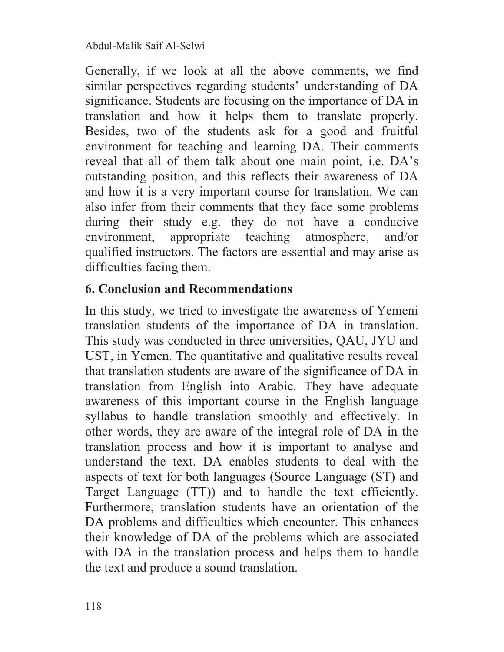Generally, if we look at all the above comments, we find similar perspectives regarding students' understanding of DA significance. Students are focusing on the importance of DA in translation and how it helps them to translate properly. Besides, two of the students ask for a good and fruitful environment for teaching and learning DA. Their comments reveal that all of them talk about one main point, i.e. DA's outstanding position, and this reflects their awareness of DA and how it is a very important course for translation. We can also infer from their comments that they face some problems during their study e.g. they do not have a conducive environment, appropriate teaching atmosphere, and/or qualified instructors. The factors are essential and may arise as difficulties facing them.

## **6. Conclusion and Recommendations**

In this study, we tried to investigate the awareness of Yemeni translation students of the importance of DA in translation. This study was conducted in three universities, QAU, JYU and UST, in Yemen. The quantitative and qualitative results reveal that translation students are aware of the significance of DA in translation from English into Arabic. They have adequate awareness of this important course in the English language syllabus to handle translation smoothly and effectively. In other words, they are aware of the integral role of DA in the translation process and how it is important to analyse and understand the text. DA enables students to deal with the aspects of text for both languages (Source Language (ST) and Target Language (TT)) and to handle the text efficiently. Furthermore, translation students have an orientation of the DA problems and difficulties which encounter. This enhances their knowledge of DA of the problems which are associated with DA in the translation process and helps them to handle the text and produce a sound translation.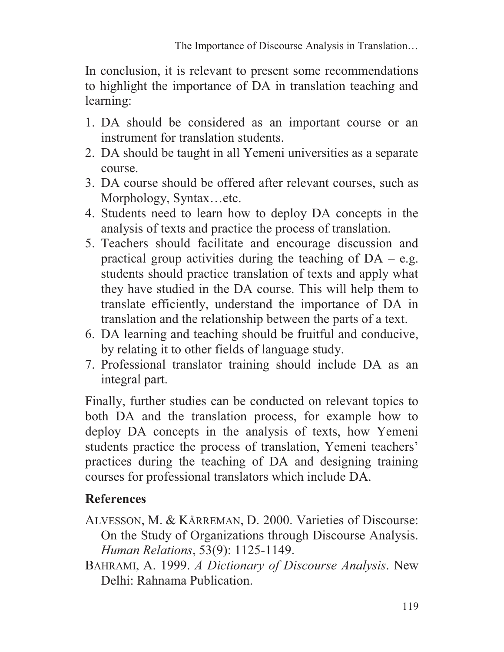In conclusion, it is relevant to present some recommendations to highlight the importance of DA in translation teaching and learning:

- 1. DA should be considered as an important course or an instrument for translation students.
- 2. DA should be taught in all Yemeni universities as a separate course.
- 3. DA course should be offered after relevant courses, such as Morphology, Syntax…etc.
- 4. Students need to learn how to deploy DA concepts in the analysis of texts and practice the process of translation.
- 5. Teachers should facilitate and encourage discussion and practical group activities during the teaching of  $DA - e.g.$ students should practice translation of texts and apply what they have studied in the DA course. This will help them to translate efficiently, understand the importance of DA in translation and the relationship between the parts of a text.
- 6. DA learning and teaching should be fruitful and conducive, by relating it to other fields of language study.
- 7. Professional translator training should include DA as an integral part.

Finally, further studies can be conducted on relevant topics to both DA and the translation process, for example how to deploy DA concepts in the analysis of texts, how Yemeni students practice the process of translation, Yemeni teachers' practices during the teaching of DA and designing training courses for professional translators which include DA.

# **References**

- ALVESSON, M. & KÄRREMAN, D. 2000. Varieties of Discourse: On the Study of Organizations through Discourse Analysis. *Human Relations*, 53(9): 1125-1149.
- BAHRAMI, A. 1999. *A Dictionary of Discourse Analysis*. New Delhi: Rahnama Publication.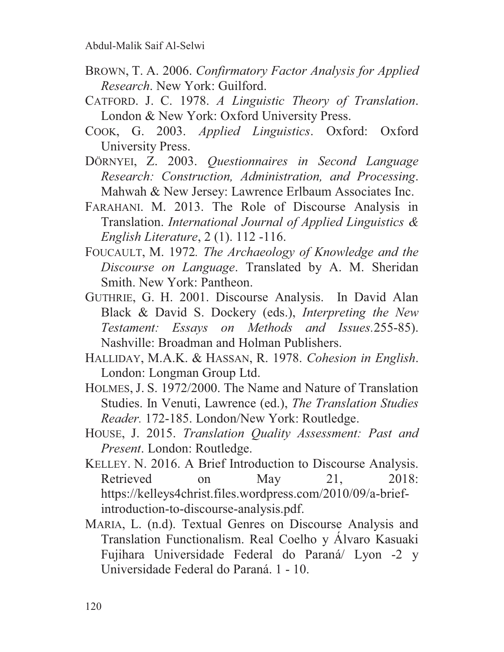- BROWN, T. A. 2006. *Confirmatory Factor Analysis for Applied Research*. New York: Guilford.
- CATFORD. J. C. 1978. *A Linguistic Theory of Translation*. London & New York: Oxford University Press.
- COOK, G. 2003. *Applied Linguistics*. Oxford: Oxford University Press.
- DÖRNYEI, Z. 2003. *Questionnaires in Second Language Research: Construction, Administration, and Processing*. Mahwah & New Jersey: Lawrence Erlbaum Associates Inc.
- FARAHANI. M. 2013. The Role of Discourse Analysis in Translation. *International Journal of Applied Linguistics & English Literature*, 2 (1). 112 -116.
- FOUCAULT, M. 1972*. The Archaeology of Knowledge and the Discourse on Language*. Translated by A. M. Sheridan Smith. New York: Pantheon.
- GUTHRIE, G. H. 2001. Discourse Analysis. In David Alan Black & David S. Dockery (eds.), *Interpreting the New Testament: Essays on Methods and Issues.*255-85). Nashville: Broadman and Holman Publishers.
- HALLIDAY, M.A.K. & HASSAN, R. 1978. *Cohesion in English*. London: Longman Group Ltd.
- HOLMES, J. S. 1972/2000. The Name and Nature of Translation Studies. In Venuti, Lawrence (ed.), *The Translation Studies Reader.* 172-185. London/New York: Routledge.
- HOUSE, J. 2015. *Translation Quality Assessment: Past and Present*. London: Routledge.
- KELLEY. N. 2016. A Brief Introduction to Discourse Analysis. Retrieved on May 21, 2018: https://kelleys4christ.files.wordpress.com/2010/09/a-briefintroduction-to-discourse-analysis.pdf.
- MARIA, L. (n.d). Textual Genres on Discourse Analysis and Translation Functionalism. Real Coelho y Álvaro Kasuaki Fujihara Universidade Federal do Paraná/ Lyon -2 y Universidade Federal do Paraná. 1 - 10.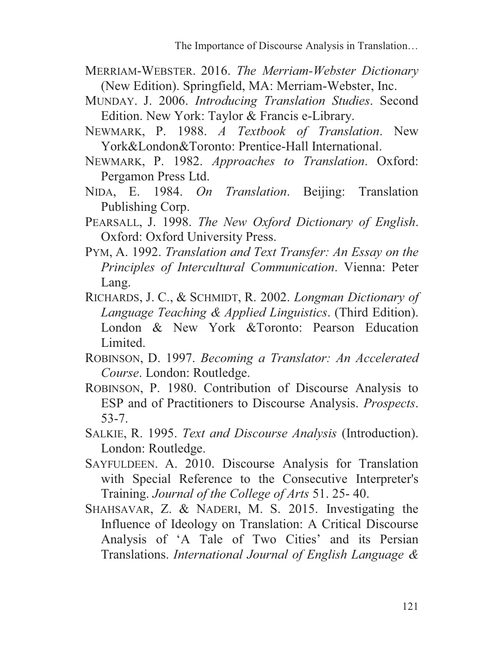- MERRIAM-WEBSTER. 2016. *The Merriam-Webster Dictionary* (New Edition). Springfield, MA: Merriam-Webster, Inc.
- MUNDAY. J. 2006. *Introducing Translation Studies*. Second Edition. New York: Taylor & Francis e-Library.
- NEWMARK, P. 1988. *A Textbook of Translation*. New York&London&Toronto: Prentice-Hall International.
- NEWMARK, P. 1982. *Approaches to Translation*. Oxford: Pergamon Press Ltd.
- NIDA, E. 1984. *On Translation*. Beijing: Translation Publishing Corp.
- PEARSALL, J. 1998. *The New Oxford Dictionary of English*. Oxford: Oxford University Press.
- PYM, A. 1992. *Translation and Text Transfer: An Essay on the Principles of Intercultural Communication*. Vienna: Peter Lang.
- RICHARDS, J. C., & SCHMIDT, R. 2002. *Longman Dictionary of Language Teaching & Applied Linguistics*. (Third Edition). London & New York &Toronto: Pearson Education Limited.
- ROBINSON, D. 1997. *Becoming a Translator: An Accelerated Course*. London: Routledge.
- ROBINSON, P. 1980. Contribution of Discourse Analysis to ESP and of Practitioners to Discourse Analysis. *Prospects*. 53-7.
- SALKIE, R. 1995. *Text and Discourse Analysis* (Introduction). London: Routledge.
- SAYFULDEEN. A. 2010. Discourse Analysis for Translation with Special Reference to the Consecutive Interpreter's Training. *Journal of the College of Arts* 51. 25- 40.
- SHAHSAVAR, Z. & NADERI, M. S. 2015. Investigating the Influence of Ideology on Translation: A Critical Discourse Analysis of 'A Tale of Two Cities' and its Persian Translations. *International Journal of English Language &*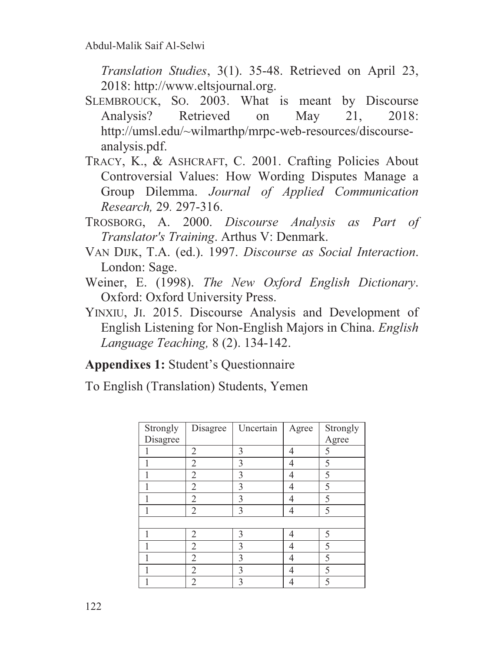*Translation Studies*, 3(1). 35-48. Retrieved on April 23, 2018: http://www.eltsjournal.org.

- SLEMBROUCK, SO. 2003. What is meant by Discourse Analysis? Retrieved on May 21, 2018: http://umsl.edu/~wilmarthp/mrpc-web-resources/discourseanalysis.pdf.
- TRACY, K., & ASHCRAFT, C. 2001. Crafting Policies About Controversial Values: How Wording Disputes Manage a Group Dilemma. *Journal of Applied Communication Research,* 29*.* 297-316.
- TROSBORG, A. 2000. *Discourse Analysis as Part of Translator's Training*. Arthus V: Denmark.
- VAN DIJK, T.A. (ed.). 1997. *Discourse as Social Interaction*. London: Sage.
- Weiner, E. (1998). *The New Oxford English Dictionary*. Oxford: Oxford University Press.
- YINXIU, JI. 2015. Discourse Analysis and Development of English Listening for Non-English Majors in China. *English Language Teaching,* 8 (2). 134-142.

## **Appendixes 1:** Student's Questionnaire

To English (Translation) Students, Yemen

| Strongly | Disagree       | Uncertain      | Agree | Strongly |
|----------|----------------|----------------|-------|----------|
| Disagree |                |                |       | Agree    |
|          | $\overline{2}$ | 3              | 4     | 5        |
|          | $\overline{2}$ | 3              | 4     | 5        |
|          | $\overline{2}$ | $\overline{3}$ | 4     | 5        |
|          | $\overline{2}$ | 3              | 4     | 5        |
|          | $\overline{2}$ | 3              | 4     | 5        |
|          | $\overline{2}$ | 3              | 4     | 5        |
|          |                |                |       |          |
|          | $\overline{2}$ | 3              | 4     | 5        |
|          | $\overline{2}$ | 3              | 4     | 5        |
|          | $\overline{2}$ | 3              | 4     | 5        |
|          | $\overline{2}$ | $\overline{3}$ | 4     | 5        |
|          | $\overline{2}$ | 3              | 4     | 5        |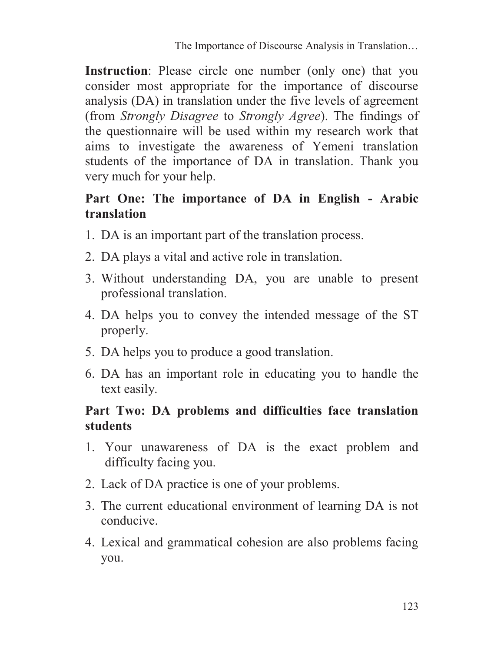**Instruction**: Please circle one number (only one) that you consider most appropriate for the importance of discourse analysis (DA) in translation under the five levels of agreement (from *Strongly Disagree* to *Strongly Agree*). The findings of the questionnaire will be used within my research work that aims to investigate the awareness of Yemeni translation students of the importance of DA in translation. Thank you very much for your help.

#### **Part One: The importance of DA in English - Arabic translation**

- 1. DA is an important part of the translation process.
- 2. DA plays a vital and active role in translation.
- 3. Without understanding DA, you are unable to present professional translation.
- 4. DA helps you to convey the intended message of the ST properly.
- 5. DA helps you to produce a good translation.
- 6. DA has an important role in educating you to handle the text easily.

#### **Part Two: DA problems and difficulties face translation students**

- 1. Your unawareness of DA is the exact problem and difficulty facing you.
- 2. Lack of DA practice is one of your problems.
- 3. The current educational environment of learning DA is not conducive.
- 4. Lexical and grammatical cohesion are also problems facing you.